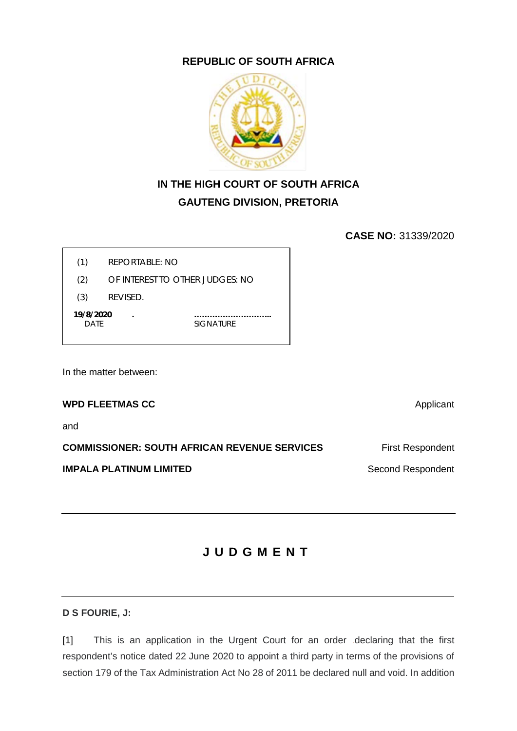## **REPUBLIC OF SOUTH AFRICA**



## **IN THE HIGH COURT OF SOUTH AFRICA GAUTENG DIVISION, PRETORIA**

**CASE NO:** 31339/2020

(1) REPORTABLE: NO

(2) OF INTEREST TO OTHER JUDGES: NO

(3) REVISED.

 **19/8/2020 . ………………………...** DATE SIGNATURE

In the matter between:

### **WPD FLEETMAS CC** Applicant

and

**COMMISSIONER: SOUTH AFRICAN REVENUE SERVICES** First Respondent

**IMPALA PLATINUM LIMITED** Second Respondent

# **JUDGMENT**

## **D S FOURIE, J:**

[1] This is an application in the Urgent Court for an order .declaring that the first respondent's notice dated 22 June 2020 to appoint a third party in terms of the provisions of section 179 of the Tax Administration Act No 28 of 2011 be declared null and void. In addition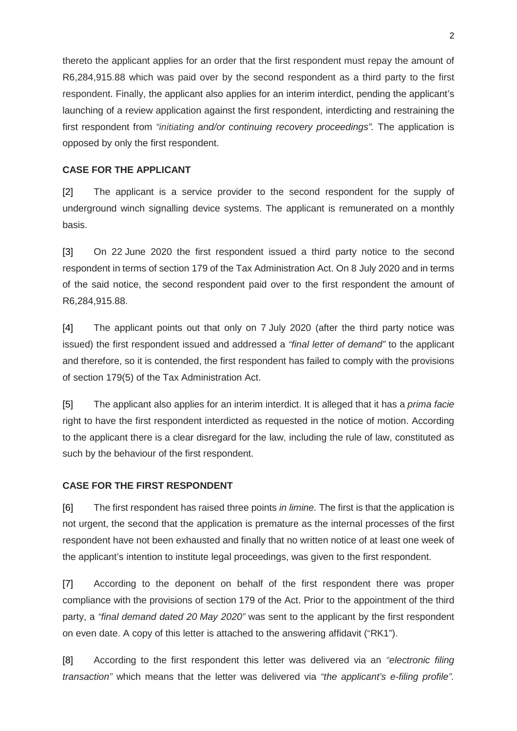thereto the applicant applies for an order that the first respondent must repay the amount of R6,284,915.88 which was paid over by the second respondent as a third party to the first respondent. Finally, the applicant also applies for an interim interdict, pending the applicant's launching of a review application against the first respondent, interdicting and restraining the first respondent from *"initiating and/or continuing recovery proceedings".* The application is opposed by only the first respondent.

#### **CASE FOR THE APPLICANT**

[2] The applicant is a service provider to the second respondent for the supply of underground winch signalling device systems. The applicant is remunerated on a monthly basis.

[3] On 22 June 2020 the first respondent issued a third party notice to the second respondent in terms of section 179 of the Tax Administration Act. On 8 July 2020 and in terms of the said notice, the second respondent paid over to the first respondent the amount of R6,284,915.88.

[4] The applicant points out that only on 7 July 2020 (after the third party notice was issued) the first respondent issued and addressed a *"final letter of demand"* to the applicant and therefore, so it is contended, the first respondent has failed to comply with the provisions of section 179(5) of the Tax Administration Act.

[5] The applicant also applies for an interim interdict. It is alleged that it has a *prima facie*  right to have the first respondent interdicted as requested in the notice of motion. According to the applicant there is a clear disregard for the law, including the rule of law, constituted as such by the behaviour of the first respondent.

#### **CASE FOR THE FIRST RESPONDENT**

[6] The first respondent has raised three points *in limine.* The first is that the application is not urgent, the second that the application is premature as the internal processes of the first respondent have not been exhausted and finally that no written notice of at least one week of the applicant's intention to institute legal proceedings, was given to the first respondent.

[7] According to the deponent on behalf of the first respondent there was proper compliance with the provisions of section 179 of the Act. Prior to the appointment of the third party, a *"final demand dated 20 May 2020"* was sent to the applicant by the first respondent on even date. A copy of this letter is attached to the answering affidavit ("RK1").

[8] According to the first respondent this letter was delivered via an *"electronic filing transaction"* which means that the letter was delivered via *"the applicant's e-filing profile".*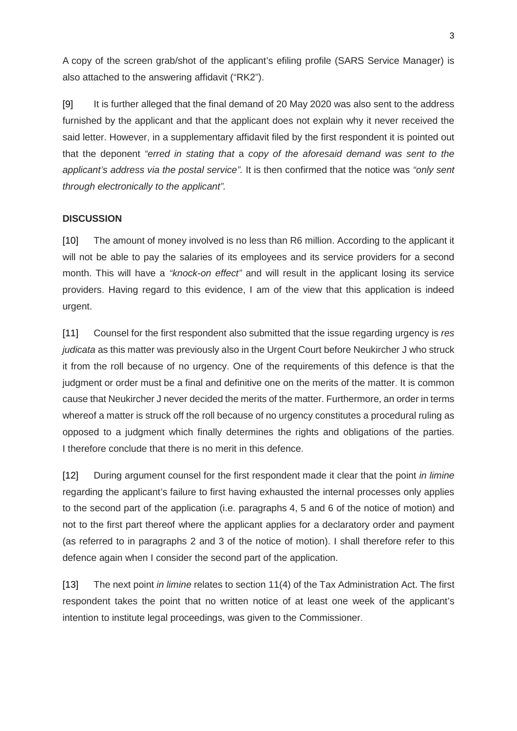A copy of the screen grab/shot of the applicant's efiling profile (SARS Service Manager) is also attached to the answering affidavit ("RK2").

[9] It is further alleged that the final demand of 20 May 2020 was also sent to the address furnished by the applicant and that the applicant does not explain why it never received the said letter. However, in a supplementary affidavit filed by the first respondent it is pointed out that the deponent *"erred in stating that* a *copy of the aforesaid demand was sent to the applicant's address via the postal service".* It is then confirmed that the notice was *"only sent through electronically to the applicant".*

#### **DISCUSSION**

[10] The amount of money involved is no less than R6 million. According to the applicant it will not be able to pay the salaries of its employees and its service providers for a second month. This will have a *"knock-on effect"* and will result in the applicant losing its service providers. Having regard to this evidence, I am of the view that this application is indeed urgent.

[11] Counsel for the first respondent also submitted that the issue regarding urgency is *res judicata* as this matter was previously also in the Urgent Court before Neukircher J who struck it from the roll because of no urgency. One of the requirements of this defence is that the judgment or order must be a final and definitive one on the merits of the matter. It is common cause that Neukircher J never decided the merits of the matter. Furthermore, an order in terms whereof a matter is struck off the roll because of no urgency constitutes a procedural ruling as opposed to a judgment which finally determines the rights and obligations of the parties. I therefore conclude that there is no merit in this defence.

[12] During argument counsel for the first respondent made it clear that the point *in limine*  regarding the applicant's failure to first having exhausted the internal processes only applies to the second part of the application (i.e. paragraphs 4, 5 and 6 of the notice of motion) and not to the first part thereof where the applicant applies for a declaratory order and payment (as referred to in paragraphs 2 and 3 of the notice of motion). I shall therefore refer to this defence again when I consider the second part of the application.

[13] The next point *in limine* relates to section 11(4) of the Tax Administration Act. The first respondent takes the point that no written notice of at least one week of the applicant's intention to institute legal proceedings, was given to the Commissioner.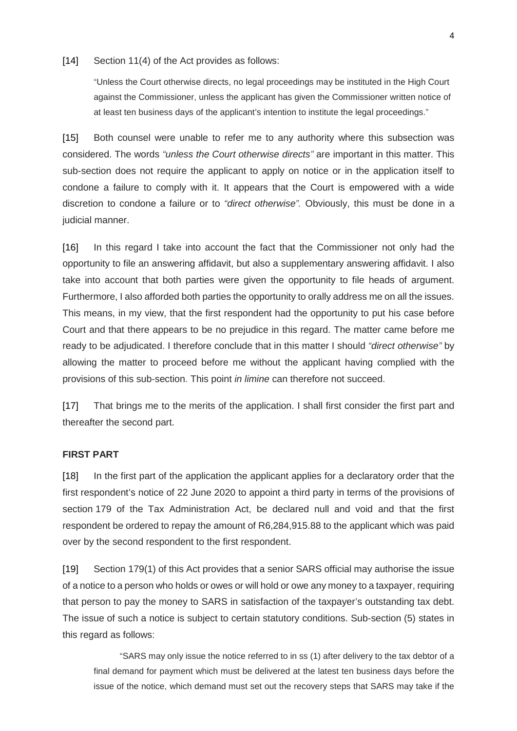#### [14] Section 11(4) of the Act provides as follows:

"Unless the Court otherwise directs, no legal proceedings may be instituted in the High Court against the Commissioner, unless the applicant has given the Commissioner written notice of at least ten business days of the applicant's intention to institute the legal proceedings."

[15] Both counsel were unable to refer me to any authority where this subsection was considered. The words *"unless the Court otherwise directs"* are important in this matter. This sub-section does not require the applicant to apply on notice or in the application itself to condone a failure to comply with it. It appears that the Court is empowered with a wide discretion to condone a failure or to *"direct otherwise".* Obviously, this must be done in a judicial manner.

[16] In this regard I take into account the fact that the Commissioner not only had the opportunity to file an answering affidavit, but also a supplementary answering affidavit. I also take into account that both parties were given the opportunity to file heads of argument. Furthermore, I also afforded both parties the opportunity to orally address me on all the issues. This means, in my view, that the first respondent had the opportunity to put his case before Court and that there appears to be no prejudice in this regard. The matter came before me ready to be adjudicated. I therefore conclude that in this matter I should *"direct otherwise"* by allowing the matter to proceed before me without the applicant having complied with the provisions of this sub-section. This point *in limine* can therefore not succeed.

[17] That brings me to the merits of the application. I shall first consider the first part and thereafter the second part.

#### **FIRST PART**

[18] In the first part of the application the applicant applies for a declaratory order that the first respondent's notice of 22 June 2020 to appoint a third party in terms of the provisions of section 179 of the Tax Administration Act, be declared null and void and that the first respondent be ordered to repay the amount of R6,284,915.88 to the applicant which was paid over by the second respondent to the first respondent.

[19] Section 179(1) of this Act provides that a senior SARS official may authorise the issue of a notice to a person who holds or owes or will hold or owe any money to a taxpayer, requiring that person to pay the money to SARS in satisfaction of the taxpayer's outstanding tax debt. The issue of such a notice is subject to certain statutory conditions. Sub-section (5) states in this regard as follows:

"SARS may only issue the notice referred to in ss (1) after delivery to the tax debtor of a final demand for payment which must be delivered at the latest ten business days before the issue of the notice, which demand must set out the recovery steps that SARS may take if the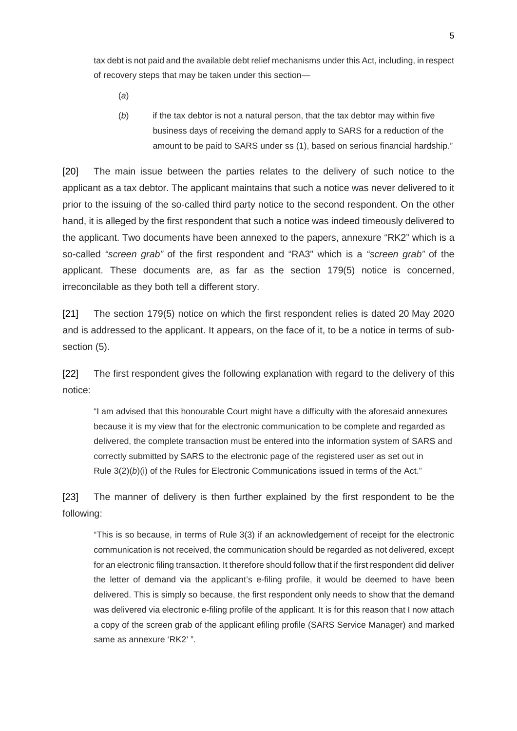tax debt is not paid and the available debt relief mechanisms under this Act, including, in respect of recovery steps that may be taken under this section—

(*a*)

(*b*) if the tax debtor is not a natural person, that the tax debtor may within five business days of receiving the demand apply to SARS for a reduction of the amount to be paid to SARS under ss (1), based on serious financial hardship."

[20] The main issue between the parties relates to the delivery of such notice to the applicant as a tax debtor. The applicant maintains that such a notice was never delivered to it prior to the issuing of the so-called third party notice to the second respondent. On the other hand, it is alleged by the first respondent that such a notice was indeed timeously delivered to the applicant. Two documents have been annexed to the papers, annexure "RK2" which is a so-called *"screen grab"* of the first respondent and "RA3" which is a *"screen grab"* of the applicant. These documents are, as far as the section 179(5) notice is concerned, irreconcilable as they both tell a different story.

[21] The section 179(5) notice on which the first respondent relies is dated 20 May 2020 and is addressed to the applicant. It appears, on the face of it, to be a notice in terms of subsection (5).

[22] The first respondent gives the following explanation with regard to the delivery of this notice:

"I am advised that this honourable Court might have a difficulty with the aforesaid annexures because it is my view that for the electronic communication to be complete and regarded as delivered, the complete transaction must be entered into the information system of SARS and correctly submitted by SARS to the electronic page of the registered user as set out in Rule 3(2)(*b*)(i) of the Rules for Electronic Communications issued in terms of the Act."

[23] The manner of delivery is then further explained by the first respondent to be the following:

"This is so because, in terms of Rule 3(3) if an acknowledgement of receipt for the electronic communication is not received, the communication should be regarded as not delivered, except for an electronic filing transaction. It therefore should follow that if the first respondent did deliver the letter of demand via the applicant's e-filing profile, it would be deemed to have been delivered. This is simply so because, the first respondent only needs to show that the demand was delivered via electronic e-filing profile of the applicant. It is for this reason that I now attach a copy of the screen grab of the applicant efiling profile (SARS Service Manager) and marked same as annexure 'RK2' ".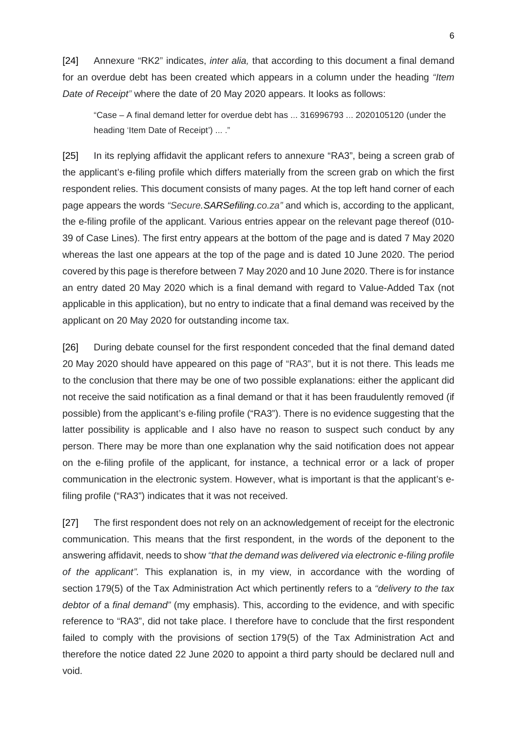[24] Annexure "RK2" indicates, *inter alia,* that according to this document a final demand for an overdue debt has been created which appears in a column under the heading *"Item Date of Receipt"* where the date of 20 May 2020 appears. It looks as follows:

"Case – A final demand letter for overdue debt has ... 316996793 ... 2020105120 (under the heading 'Item Date of Receipt') ... ."

[25] In its replying affidavit the applicant refers to annexure "RA3", being a screen grab of the applicant's e-filing profile which differs materially from the screen grab on which the first respondent relies. This document consists of many pages. At the top left hand corner of each page appears the words *"Secure.SARSefiling.co.za"* and which is, according to the applicant, the e-filing profile of the applicant. Various entries appear on the relevant page thereof (010- 39 of Case Lines). The first entry appears at the bottom of the page and is dated 7 May 2020 whereas the last one appears at the top of the page and is dated 10 June 2020. The period covered by this page is therefore between 7 May 2020 and 10 June 2020. There is for instance an entry dated 20 May 2020 which is a final demand with regard to Value-Added Tax (not applicable in this application), but no entry to indicate that a final demand was received by the applicant on 20 May 2020 for outstanding income tax.

[26] During debate counsel for the first respondent conceded that the final demand dated 20 May 2020 should have appeared on this page of "RA3", but it is not there. This leads me to the conclusion that there may be one of two possible explanations: either the applicant did not receive the said notification as a final demand or that it has been fraudulently removed (if possible) from the applicant's e-filing profile ("RA3"). There is no evidence suggesting that the latter possibility is applicable and I also have no reason to suspect such conduct by any person. There may be more than one explanation why the said notification does not appear on the e-filing profile of the applicant, for instance, a technical error or a lack of proper communication in the electronic system. However, what is important is that the applicant's efiling profile ("RA3") indicates that it was not received.

[27] The first respondent does not rely on an acknowledgement of receipt for the electronic communication. This means that the first respondent, in the words of the deponent to the answering affidavit, needs to show *"that the demand was delivered via electronic e-filing profile of the applicant".* This explanation is, in my view, in accordance with the wording of section 179(5) of the Tax Administration Act which pertinently refers to a *"delivery to the tax debtor of* a *final demand"* (my emphasis). This, according to the evidence, and with specific reference to "RA3", did not take place. I therefore have to conclude that the first respondent failed to comply with the provisions of section 179(5) of the Tax Administration Act and therefore the notice dated 22 June 2020 to appoint a third party should be declared null and void.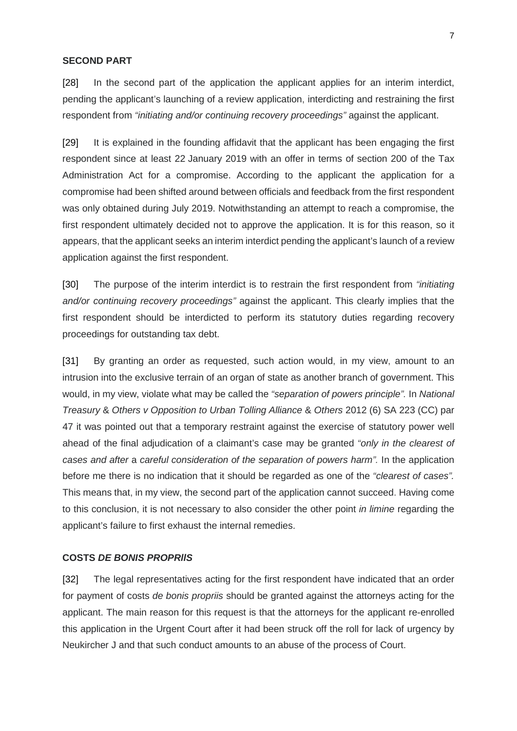#### **SECOND PART**

[28] In the second part of the application the applicant applies for an interim interdict, pending the applicant's launching of a review application, interdicting and restraining the first respondent from *"initiating and/or continuing recovery proceedings"* against the applicant.

[29] It is explained in the founding affidavit that the applicant has been engaging the first respondent since at least 22 January 2019 with an offer in terms of section 200 of the Tax Administration Act for a compromise. According to the applicant the application for a compromise had been shifted around between officials and feedback from the first respondent was only obtained during July 2019. Notwithstanding an attempt to reach a compromise, the first respondent ultimately decided not to approve the application. It is for this reason, so it appears, that the applicant seeks an interim interdict pending the applicant's launch of a review application against the first respondent.

[30] The purpose of the interim interdict is to restrain the first respondent from *"initiating and/or continuing recovery proceedings"* against the applicant. This clearly implies that the first respondent should be interdicted to perform its statutory duties regarding recovery proceedings for outstanding tax debt.

[31] By granting an order as requested, such action would, in my view, amount to an intrusion into the exclusive terrain of an organ of state as another branch of government. This would, in my view, violate what may be called the *"separation of powers principle".* In *National Treasury* & *Others v Opposition to Urban Tolling Alliance* & *Others* 2012 (6) SA 223 (CC) par 47 it was pointed out that a temporary restraint against the exercise of statutory power well ahead of the final adjudication of a claimant's case may be granted *"only in the clearest of cases and after* a *careful consideration of the separation of powers harm".* In the application before me there is no indication that it should be regarded as one of the *"clearest of cases".*  This means that, in my view, the second part of the application cannot succeed. Having come to this conclusion, it is not necessary to also consider the other point *in limine* regarding the applicant's failure to first exhaust the internal remedies.

#### **COSTS** *DE BONIS PROPRllS*

[32] The legal representatives acting for the first respondent have indicated that an order for payment of costs *de bonis propriis* should be granted against the attorneys acting for the applicant. The main reason for this request is that the attorneys for the applicant re-enrolled this application in the Urgent Court after it had been struck off the roll for lack of urgency by Neukircher J and that such conduct amounts to an abuse of the process of Court.